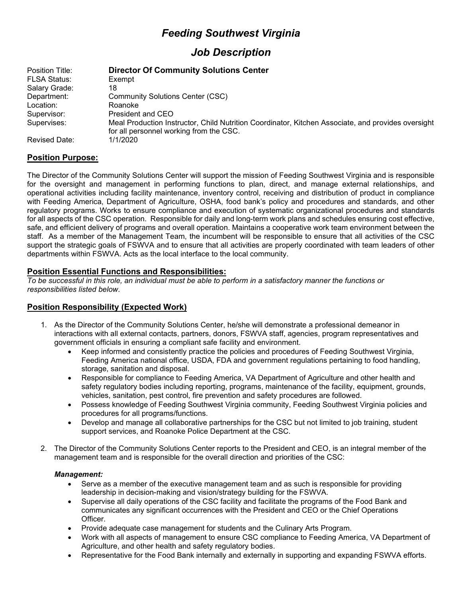# *Feeding Southwest Virginia*

## *Job Description*

| Position Title:      | <b>Director Of Community Solutions Center</b>                                                                                                 |  |  |
|----------------------|-----------------------------------------------------------------------------------------------------------------------------------------------|--|--|
| <b>FLSA Status:</b>  | Exempt                                                                                                                                        |  |  |
| Salary Grade:        | 18                                                                                                                                            |  |  |
| Department:          | Community Solutions Center (CSC)                                                                                                              |  |  |
| Location:            | Roanoke                                                                                                                                       |  |  |
| Supervisor:          | President and CEO                                                                                                                             |  |  |
| Supervises:          | Meal Production Instructor, Child Nutrition Coordinator, Kitchen Associate, and provides oversight<br>for all personnel working from the CSC. |  |  |
| <b>Revised Date:</b> | 1/1/2020                                                                                                                                      |  |  |

## **Position Purpose:**

The Director of the Community Solutions Center will support the mission of Feeding Southwest Virginia and is responsible for the oversight and management in performing functions to plan, direct, and manage external relationships, and operational activities including facility maintenance, inventory control, receiving and distribution of product in compliance with Feeding America, Department of Agriculture, OSHA, food bank's policy and procedures and standards, and other regulatory programs. Works to ensure compliance and execution of systematic organizational procedures and standards for all aspects of the CSC operation. Responsible for daily and long-term work plans and schedules ensuring cost effective, safe, and efficient delivery of programs and overall operation. Maintains a cooperative work team environment between the staff. As a member of the Management Team, the incumbent will be responsible to ensure that all activities of the CSC support the strategic goals of FSWVA and to ensure that all activities are properly coordinated with team leaders of other departments within FSWVA. Acts as the local interface to the local community.

## **Position Essential Functions and Responsibilities:**

*To be successful in this role, an individual must be able to perform in a satisfactory manner the functions or responsibilities listed below.*

#### **Position Responsibility (Expected Work)**

- 1. As the Director of the Community Solutions Center, he/she will demonstrate a professional demeanor in interactions with all external contacts, partners, donors, FSWVA staff, agencies, program representatives and government officials in ensuring a compliant safe facility and environment.
	- Keep informed and consistently practice the policies and procedures of Feeding Southwest Virginia, Feeding America national office, USDA, FDA and government regulations pertaining to food handling, storage, sanitation and disposal.
	- Responsible for compliance to Feeding America, VA Department of Agriculture and other health and safety regulatory bodies including reporting, programs, maintenance of the facility, equipment, grounds, vehicles, sanitation, pest control, fire prevention and safety procedures are followed.
	- Possess knowledge of Feeding Southwest Virginia community, Feeding Southwest Virginia policies and procedures for all programs/functions.
	- Develop and manage all collaborative partnerships for the CSC but not limited to job training, student support services, and Roanoke Police Department at the CSC.
- 2. The Director of the Community Solutions Center reports to the President and CEO, is an integral member of the management team and is responsible for the overall direction and priorities of the CSC:

#### *Management:*

- Serve as a member of the executive management team and as such is responsible for providing leadership in decision-making and vision/strategy building for the FSWVA.
- Supervise all daily operations of the CSC facility and facilitate the programs of the Food Bank and communicates any significant occurrences with the President and CEO or the Chief Operations Officer.
- Provide adequate case management for students and the Culinary Arts Program.
- Work with all aspects of management to ensure CSC compliance to Feeding America, VA Department of Agriculture, and other health and safety regulatory bodies.
- Representative for the Food Bank internally and externally in supporting and expanding FSWVA efforts.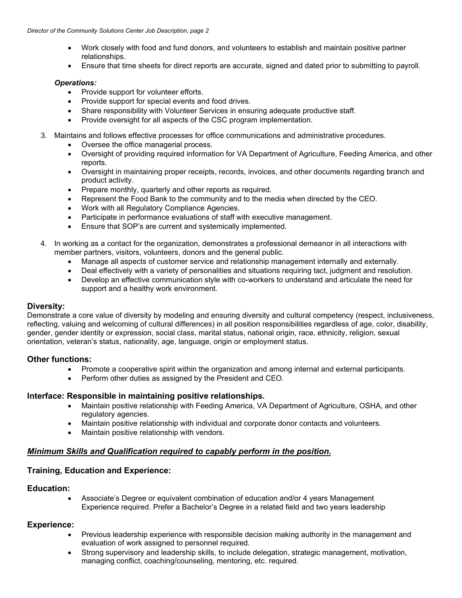- Work closely with food and fund donors, and volunteers to establish and maintain positive partner relationships.
- Ensure that time sheets for direct reports are accurate, signed and dated prior to submitting to payroll.

#### *Operations:*

- Provide support for volunteer efforts.
- Provide support for special events and food drives.
- Share responsibility with Volunteer Services in ensuring adequate productive staff.
- Provide oversight for all aspects of the CSC program implementation.
- 3. Maintains and follows effective processes for office communications and administrative procedures.
	- Oversee the office managerial process.
	- Oversight of providing required information for VA Department of Agriculture, Feeding America, and other reports.
	- Oversight in maintaining proper receipts, records, invoices, and other documents regarding branch and product activity.
	- Prepare monthly, quarterly and other reports as required.
	- Represent the Food Bank to the community and to the media when directed by the CEO.
	- Work with all Regulatory Compliance Agencies.
	- Participate in performance evaluations of staff with executive management.
	- Ensure that SOP's are current and systemically implemented.
- 4. In working as a contact for the organization, demonstrates a professional demeanor in all interactions with member partners, visitors, volunteers, donors and the general public.
	- Manage all aspects of customer service and relationship management internally and externally.
	- Deal effectively with a variety of personalities and situations requiring tact, judgment and resolution.
	- Develop an effective communication style with co-workers to understand and articulate the need for support and a healthy work environment.

#### **Diversity:**

Demonstrate a core value of diversity by modeling and ensuring diversity and cultural competency (respect, inclusiveness, reflecting, valuing and welcoming of cultural differences) in all position responsibilities regardless of age, color, disability, gender, gender identity or expression, social class, marital status, national origin, race, ethnicity, religion, sexual orientation, veteran's status, nationality, age, language, origin or employment status.

#### **Other functions:**

- Promote a cooperative spirit within the organization and among internal and external participants.
- Perform other duties as assigned by the President and CEO.

#### **Interface: Responsible in maintaining positive relationships.**

- Maintain positive relationship with Feeding America, VA Department of Agriculture, OSHA, and other regulatory agencies.
- Maintain positive relationship with individual and corporate donor contacts and volunteers.
- Maintain positive relationship with vendors.

#### *Minimum Skills and Qualification required to capably perform in the position***.**

#### **Training, Education and Experience:**

#### **Education:**

• Associate's Degree or equivalent combination of education and/or 4 years Management Experience required. Prefer a Bachelor's Degree in a related field and two years leadership

#### **Experience:**

- Previous leadership experience with responsible decision making authority in the management and evaluation of work assigned to personnel required.
- Strong supervisory and leadership skills, to include delegation, strategic management, motivation, managing conflict, coaching/counseling, mentoring, etc. required.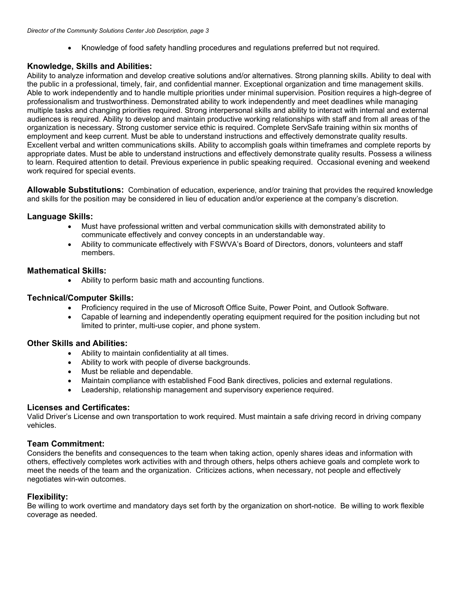• Knowledge of food safety handling procedures and regulations preferred but not required.

## **Knowledge, Skills and Abilities:**

Ability to analyze information and develop creative solutions and/or alternatives. Strong planning skills. Ability to deal with the public in a professional, timely, fair, and confidential manner. Exceptional organization and time management skills. Able to work independently and to handle multiple priorities under minimal supervision. Position requires a high-degree of professionalism and trustworthiness. Demonstrated ability to work independently and meet deadlines while managing multiple tasks and changing priorities required. Strong interpersonal skills and ability to interact with internal and external audiences is required. Ability to develop and maintain productive working relationships with staff and from all areas of the organization is necessary. Strong customer service ethic is required. Complete ServSafe training within six months of employment and keep current. Must be able to understand instructions and effectively demonstrate quality results. Excellent verbal and written communications skills. Ability to accomplish goals within timeframes and complete reports by appropriate dates. Must be able to understand instructions and effectively demonstrate quality results. Possess a wiliness to learn. Required attention to detail. Previous experience in public speaking required. Occasional evening and weekend work required for special events.

**Allowable Substitutions:** Combination of education, experience, and/or training that provides the required knowledge and skills for the position may be considered in lieu of education and/or experience at the company's discretion.

## **Language Skills:**

- Must have professional written and verbal communication skills with demonstrated ability to communicate effectively and convey concepts in an understandable way.
- Ability to communicate effectively with FSWVA's Board of Directors, donors, volunteers and staff members.

## **Mathematical Skills:**

• Ability to perform basic math and accounting functions.

### **Technical/Computer Skills:**

- Proficiency required in the use of Microsoft Office Suite, Power Point, and Outlook Software.
- Capable of learning and independently operating equipment required for the position including but not limited to printer, multi-use copier, and phone system.

#### **Other Skills and Abilities:**

- Ability to maintain confidentiality at all times.
- Ability to work with people of diverse backgrounds.
- Must be reliable and dependable.
- Maintain compliance with established Food Bank directives, policies and external regulations.
- Leadership, relationship management and supervisory experience required.

#### **Licenses and Certificates:**

Valid Driver's License and own transportation to work required. Must maintain a safe driving record in driving company vehicles.

#### **Team Commitment:**

Considers the benefits and consequences to the team when taking action, openly shares ideas and information with others, effectively completes work activities with and through others, helps others achieve goals and complete work to meet the needs of the team and the organization. Criticizes actions, when necessary, not people and effectively negotiates win-win outcomes.

#### **Flexibility:**

Be willing to work overtime and mandatory days set forth by the organization on short-notice. Be willing to work flexible coverage as needed.